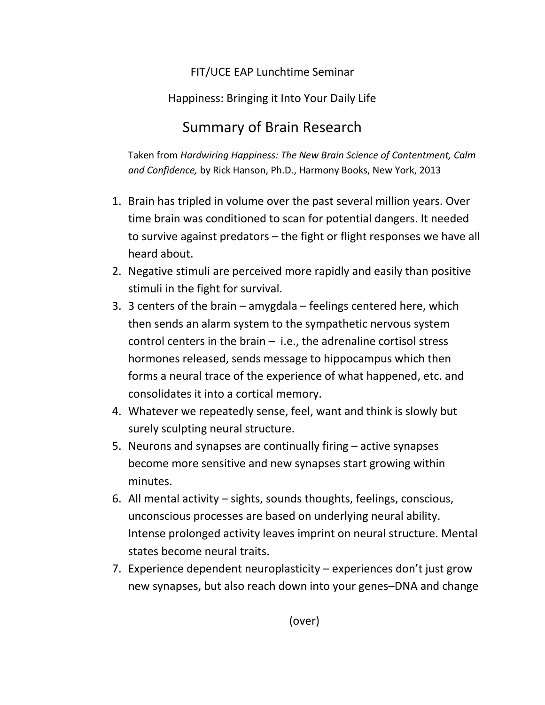## FIT/UCE EAP Lunchtime Seminar

## Happiness: Bringing it Into Your Daily Life

## Summary of Brain Research

Taken from *Hardwiring Happiness: The New Brain Science of Contentment, Calm and Confidence,* by Rick Hanson, Ph.D., Harmony Books, New York, 2013

- 1. Brain has tripled in volume over the past several million years. Over time brain was conditioned to scan for potential dangers. It needed to survive against predators – the fight or flight responses we have all heard about.
- 2. Negative stimuli are perceived more rapidly and easily than positive stimuli in the fight for survival.
- 3. 3 centers of the brain  $-$  amygdala  $-$  feelings centered here, which then sends an alarm system to the sympathetic nervous system control centers in the brain  $-$  i.e., the adrenaline cortisol stress hormones released, sends message to hippocampus which then forms a neural trace of the experience of what happened, etc. and consolidates it into a cortical memory.
- 4. Whatever we repeatedly sense, feel, want and think is slowly but surely sculpting neural structure.
- 5. Neurons and synapses are continually firing active synapses become more sensitive and new synapses start growing within minutes.
- 6. All mental activity sights, sounds thoughts, feelings, conscious, unconscious processes are based on underlying neural ability. Intense prolonged activity leaves imprint on neural structure. Mental states become neural traits.
- 7. Experience dependent neuroplasticity experiences don't just grow new synapses, but also reach down into your genes–DNA and change